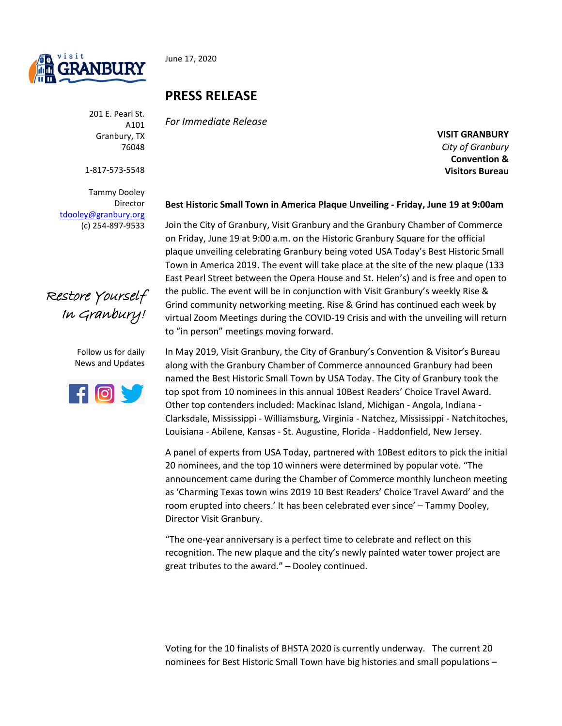

June 17, 2020

201 E. Pearl St. A101 Granbury, TX 76048

1-817-573-5548

Tammy Dooley Director [tdooley@granbury.org](mailto:tdooley@granbury.org) (c) 254-897-9533



Follow us for daily News and Updates



## **PRESS RELEASE**

*For Immediate Release*

**VISIT GRANBURY** *City of Granbury*  **Convention & Visitors Bureau**

## **Best Historic Small Town in America Plaque Unveiling - Friday, June 19 at 9:00am**

Join the City of Granbury, Visit Granbury and the Granbury Chamber of Commerce on Friday, June 19 at 9:00 a.m. on the Historic Granbury Square for the official plaque unveiling celebrating Granbury being voted USA Today's Best Historic Small Town in America 2019. The event will take place at the site of the new plaque (133 East Pearl Street between the Opera House and St. Helen's) and is free and open to the public. The event will be in conjunction with Visit Granbury's weekly Rise & Grind community networking meeting. Rise & Grind has continued each week by virtual Zoom Meetings during the COVID-19 Crisis and with the unveiling will return to "in person" meetings moving forward.

In May 2019, Visit Granbury, the City of Granbury's Convention & Visitor's Bureau along with the Granbury Chamber of Commerce announced Granbury had been named the Best Historic Small Town by USA Today. The City of Granbury took the top spot from 10 nominees in this annual 10Best Readers' Choice Travel Award. Other top contenders included: Mackinac Island, Michigan - Angola, Indiana - Clarksdale, Mississippi - Williamsburg, Virginia - Natchez, Mississippi - Natchitoches, Louisiana - Abilene, Kansas - St. Augustine, Florida - Haddonfield, New Jersey.

A panel of experts from USA Today, partnered with 10Best editors to pick the initial 20 nominees, and the top 10 winners were determined by popular vote. "The announcement came during the Chamber of Commerce monthly luncheon meeting as 'Charming Texas town wins 2019 10 Best Readers' Choice Travel Award' and the room erupted into cheers.' It has been celebrated ever since' – Tammy Dooley, Director Visit Granbury.

"The one-year anniversary is a perfect time to celebrate and reflect on this recognition. The new plaque and the city's newly painted water tower project are great tributes to the award." – Dooley continued.

Voting for the 10 finalists of BHSTA 2020 is currently underway. The current 20 nominees for Best Historic Small Town have big histories and small populations –